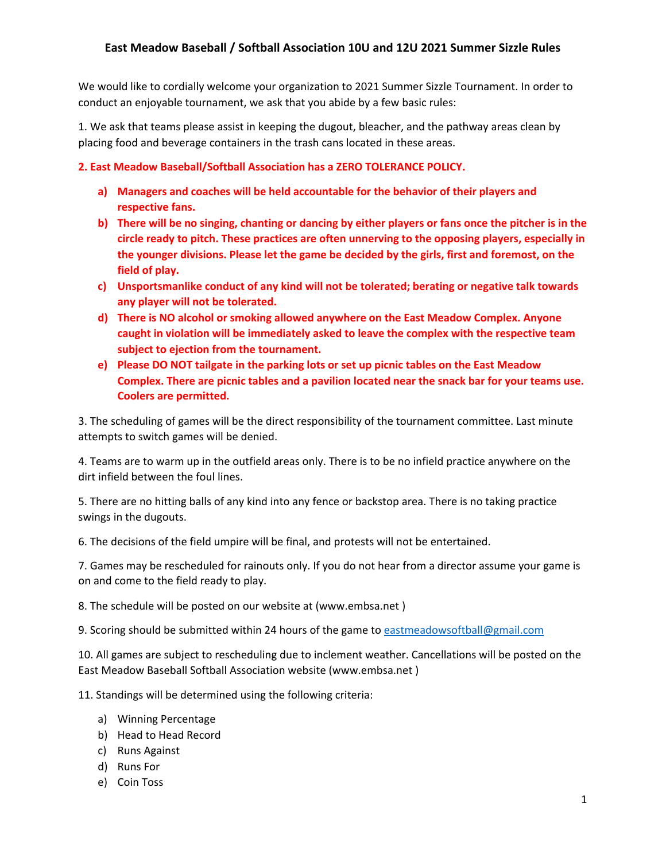We would like to cordially welcome your organization to 2021 Summer Sizzle Tournament. In order to conduct an enjoyable tournament, we ask that you abide by a few basic rules:

1. We ask that teams please assist in keeping the dugout, bleacher, and the pathway areas clean by placing food and beverage containers in the trash cans located in these areas.

### **2. East Meadow Baseball/Softball Association has a ZERO TOLERANCE POLICY.**

- a) Managers and coaches will be held accountable for the behavior of their players and **respective fans.**
- **b)** There will be no singing, chanting or dancing by either players or fans once the pitcher is in the circle ready to pitch. These practices are often unnerving to the opposing players, especially in the younger divisions. Please let the game be decided by the girls, first and foremost, on the **field of play.**
- c) Unsportsmanlike conduct of any kind will not be tolerated; berating or negative talk towards any player will not be tolerated.
- **d)** There is NO alcohol or smoking allowed anywhere on the East Meadow Complex. Anyone caught in violation will be immediately asked to leave the complex with the respective team subject to ejection from the tournament.
- **e)** Please DO NOT tailgate in the parking lots or set up picnic tables on the East Meadow **Complex.** There are picnic tables and a pavilion located near the snack bar for your teams use. **Coolers are permitted.**

3. The scheduling of games will be the direct responsibility of the tournament committee. Last minute attempts to switch games will be denied.

4. Teams are to warm up in the outfield areas only. There is to be no infield practice anywhere on the dirt infield between the foul lines.

5. There are no hitting balls of any kind into any fence or backstop area. There is no taking practice swings in the dugouts.

6. The decisions of the field umpire will be final, and protests will not be entertained.

7. Games may be rescheduled for rainouts only. If you do not hear from a director assume your game is on and come to the field ready to play.

8. The schedule will be posted on our website at (www.embsa.net)

9. Scoring should be submitted within 24 hours of the game to eastmeadowsoftball@gmail.com

10. All games are subject to rescheduling due to inclement weather. Cancellations will be posted on the East Meadow Baseball Softball Association website (www.embsa.net)

11. Standings will be determined using the following criteria:

- a) Winning Percentage
- b) Head to Head Record
- c) Runs Against
- d) Runs For
- e) Coin Toss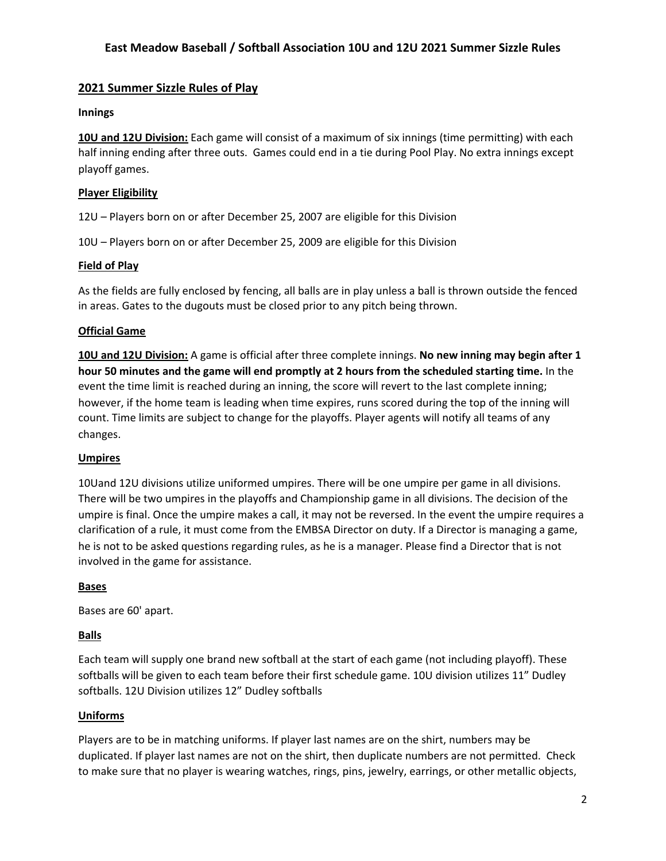### **2021 Summer Sizzle Rules of Play**

### **Innings**

10U and 12U Division: Each game will consist of a maximum of six innings (time permitting) with each half inning ending after three outs. Games could end in a tie during Pool Play. No extra innings except playoff games.

### **Player Eligibility**

12U – Players born on or after December 25, 2007 are eligible for this Division

10U – Players born on or after December 25, 2009 are eligible for this Division

### **Field of Play**

As the fields are fully enclosed by fencing, all balls are in play unless a ball is thrown outside the fenced in areas. Gates to the dugouts must be closed prior to any pitch being thrown.

#### **Official Game**

**10U** and 12U Division: A game is official after three complete innings. No new inning may begin after 1 **hour 50** minutes and the game will end promptly at 2 hours from the scheduled starting time. In the event the time limit is reached during an inning, the score will revert to the last complete inning; however, if the home team is leading when time expires, runs scored during the top of the inning will count. Time limits are subject to change for the playoffs. Player agents will notify all teams of any changes.

#### **Umpires**

10Uand 12U divisions utilize uniformed umpires. There will be one umpire per game in all divisions. There will be two umpires in the playoffs and Championship game in all divisions. The decision of the umpire is final. Once the umpire makes a call, it may not be reversed. In the event the umpire requires a clarification of a rule, it must come from the EMBSA Director on duty. If a Director is managing a game, he is not to be asked questions regarding rules, as he is a manager. Please find a Director that is not involved in the game for assistance.

#### **Bases**

Bases are 60' apart.

### **Balls**

Each team will supply one brand new softball at the start of each game (not including playoff). These softballs will be given to each team before their first schedule game. 10U division utilizes 11" Dudley softballs. 12U Division utilizes 12" Dudley softballs

#### **Uniforms**

Players are to be in matching uniforms. If player last names are on the shirt, numbers may be duplicated. If player last names are not on the shirt, then duplicate numbers are not permitted. Check to make sure that no player is wearing watches, rings, pins, jewelry, earrings, or other metallic objects,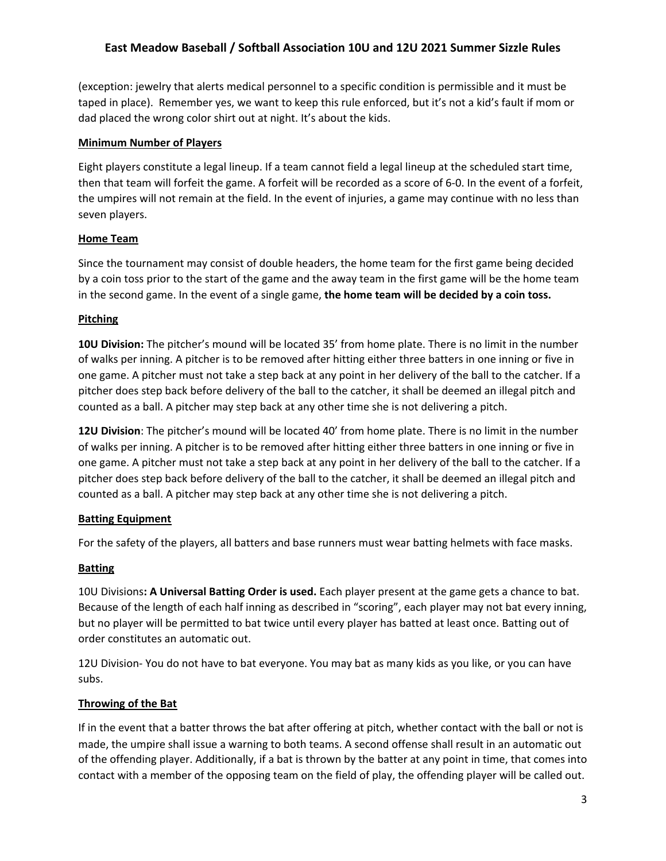(exception: jewelry that alerts medical personnel to a specific condition is permissible and it must be taped in place). Remember yes, we want to keep this rule enforced, but it's not a kid's fault if mom or dad placed the wrong color shirt out at night. It's about the kids.

### **Minimum Number of Players**

Eight players constitute a legal lineup. If a team cannot field a legal lineup at the scheduled start time, then that team will forfeit the game. A forfeit will be recorded as a score of 6-0. In the event of a forfeit, the umpires will not remain at the field. In the event of injuries, a game may continue with no less than seven players.

### **Home Team**

Since the tournament may consist of double headers, the home team for the first game being decided by a coin toss prior to the start of the game and the away team in the first game will be the home team in the second game. In the event of a single game, **the home team will be decided by a coin toss.** 

### **Pitching**

**10U Division:** The pitcher's mound will be located 35' from home plate. There is no limit in the number of walks per inning. A pitcher is to be removed after hitting either three batters in one inning or five in one game. A pitcher must not take a step back at any point in her delivery of the ball to the catcher. If a pitcher does step back before delivery of the ball to the catcher, it shall be deemed an illegal pitch and counted as a ball. A pitcher may step back at any other time she is not delivering a pitch.

**12U Division**: The pitcher's mound will be located 40' from home plate. There is no limit in the number of walks per inning. A pitcher is to be removed after hitting either three batters in one inning or five in one game. A pitcher must not take a step back at any point in her delivery of the ball to the catcher. If a pitcher does step back before delivery of the ball to the catcher, it shall be deemed an illegal pitch and counted as a ball. A pitcher may step back at any other time she is not delivering a pitch.

## **Batting Equipment**

For the safety of the players, all batters and base runners must wear batting helmets with face masks.

## **Batting**

10U Divisions: A Universal Batting Order is used. Each player present at the game gets a chance to bat. Because of the length of each half inning as described in "scoring", each player may not bat every inning, but no player will be permitted to bat twice until every player has batted at least once. Batting out of order constitutes an automatic out.

12U Division- You do not have to bat everyone. You may bat as many kids as you like, or you can have subs. 

### **Throwing of the Bat**

If in the event that a batter throws the bat after offering at pitch, whether contact with the ball or not is made, the umpire shall issue a warning to both teams. A second offense shall result in an automatic out of the offending player. Additionally, if a bat is thrown by the batter at any point in time, that comes into contact with a member of the opposing team on the field of play, the offending player will be called out.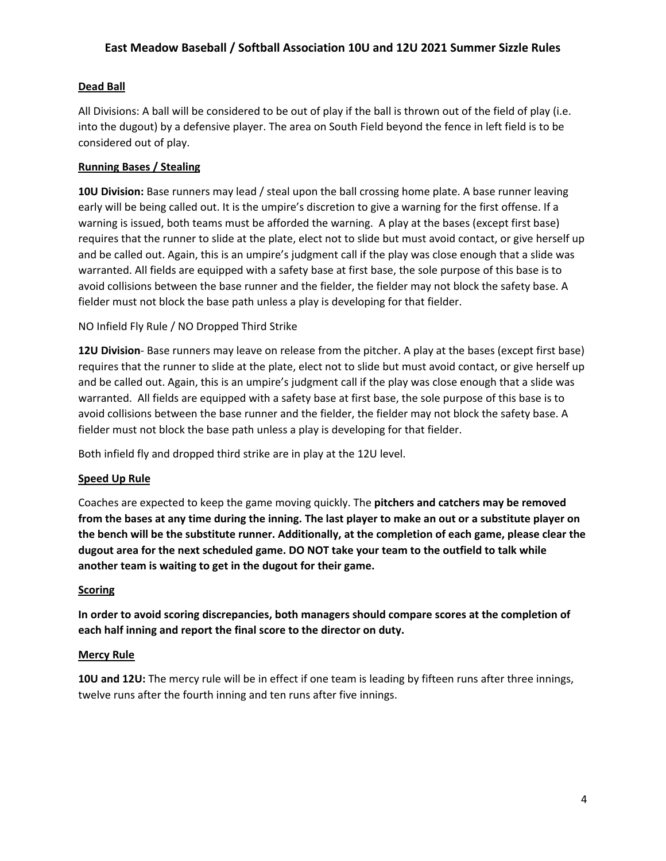### **Dead Ball**

All Divisions: A ball will be considered to be out of play if the ball is thrown out of the field of play (i.e. into the dugout) by a defensive player. The area on South Field beyond the fence in left field is to be considered out of play.

### **Running Bases / Stealing**

**10U Division:** Base runners may lead / steal upon the ball crossing home plate. A base runner leaving early will be being called out. It is the umpire's discretion to give a warning for the first offense. If a warning is issued, both teams must be afforded the warning. A play at the bases (except first base) requires that the runner to slide at the plate, elect not to slide but must avoid contact, or give herself up and be called out. Again, this is an umpire's judgment call if the play was close enough that a slide was warranted. All fields are equipped with a safety base at first base, the sole purpose of this base is to avoid collisions between the base runner and the fielder, the fielder may not block the safety base. A fielder must not block the base path unless a play is developing for that fielder.

NO Infield Fly Rule / NO Dropped Third Strike

**12U Division**- Base runners may leave on release from the pitcher. A play at the bases (except first base) requires that the runner to slide at the plate, elect not to slide but must avoid contact, or give herself up and be called out. Again, this is an umpire's judgment call if the play was close enough that a slide was warranted. All fields are equipped with a safety base at first base, the sole purpose of this base is to avoid collisions between the base runner and the fielder, the fielder may not block the safety base. A fielder must not block the base path unless a play is developing for that fielder.

Both infield fly and dropped third strike are in play at the 12U level.

## **Speed Up Rule**

Coaches are expected to keep the game moving quickly. The **pitchers and catchers may be removed** from the bases at any time during the inning. The last player to make an out or a substitute player on the bench will be the substitute runner. Additionally, at the completion of each game, please clear the dugout area for the next scheduled game. DO NOT take your team to the outfield to talk while another team is waiting to get in the dugout for their game.

### **Scoring**

In order to avoid scoring discrepancies, both managers should compare scores at the completion of each half inning and report the final score to the director on duty.

### **Mercy Rule**

**10U** and 12U: The mercy rule will be in effect if one team is leading by fifteen runs after three innings, twelve runs after the fourth inning and ten runs after five innings.